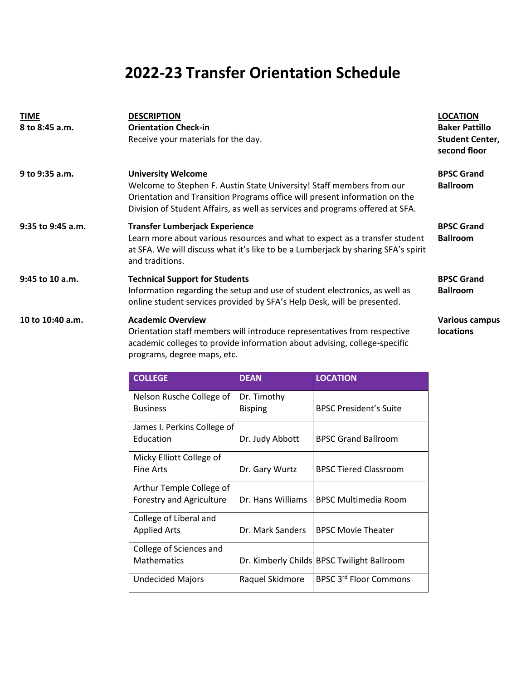# **2022-23 Transfer Orientation Schedule**

| <b>TIME</b><br>8 to 8:45 a.m. | <b>DESCRIPTION</b><br><b>Orientation Check-in</b><br>Receive your materials for the day.                                                                                                                                                                          | <b>LOCATION</b><br><b>Baker Pattillo</b><br><b>Student Center,</b><br>second floor |
|-------------------------------|-------------------------------------------------------------------------------------------------------------------------------------------------------------------------------------------------------------------------------------------------------------------|------------------------------------------------------------------------------------|
| 9 to 9:35 a.m.                | <b>University Welcome</b><br>Welcome to Stephen F. Austin State University! Staff members from our<br>Orientation and Transition Programs office will present information on the<br>Division of Student Affairs, as well as services and programs offered at SFA. | <b>BPSC Grand</b><br><b>Ballroom</b>                                               |
| 9:35 to 9:45 a.m.             | <b>Transfer Lumberjack Experience</b><br>Learn more about various resources and what to expect as a transfer student<br>at SFA. We will discuss what it's like to be a Lumberjack by sharing SFA's spirit<br>and traditions.                                      | <b>BPSC Grand</b><br><b>Ballroom</b>                                               |
| 9:45 to 10 a.m.               | <b>Technical Support for Students</b><br>Information regarding the setup and use of student electronics, as well as<br>online student services provided by SFA's Help Desk, will be presented.                                                                    | <b>BPSC Grand</b><br><b>Ballroom</b>                                               |
| 10 to 10:40 a.m.              | <b>Academic Overview</b><br>Orientation staff members will introduce representatives from respective<br>academic colleges to provide information about advising, college-specific                                                                                 | <b>Various campus</b><br><b>locations</b>                                          |

programs, degree maps, etc.

| <b>COLLEGE</b>                  | <b>DEAN</b>       | <b>LOCATION</b>                            |
|---------------------------------|-------------------|--------------------------------------------|
| Nelson Rusche College of        | Dr. Timothy       |                                            |
| <b>Business</b>                 | <b>Bisping</b>    | <b>BPSC President's Suite</b>              |
| James I. Perkins College of     |                   |                                            |
| Education                       | Dr. Judy Abbott   | <b>BPSC Grand Ballroom</b>                 |
| Micky Elliott College of        |                   |                                            |
| <b>Fine Arts</b>                | Dr. Gary Wurtz    | <b>BPSC Tiered Classroom</b>               |
| Arthur Temple College of        |                   |                                            |
| <b>Forestry and Agriculture</b> | Dr. Hans Williams | <b>BPSC Multimedia Room</b>                |
| College of Liberal and          |                   |                                            |
| <b>Applied Arts</b>             | Dr. Mark Sanders  | <b>BPSC Movie Theater</b>                  |
| College of Sciences and         |                   |                                            |
| <b>Mathematics</b>              |                   | Dr. Kimberly Childs BPSC Twilight Ballroom |
| <b>Undecided Majors</b>         | Raquel Skidmore   | BPSC 3 <sup>rd</sup> Floor Commons         |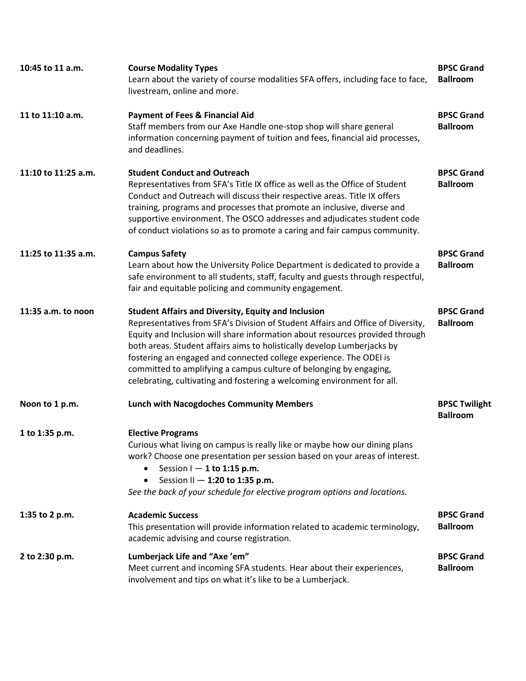| 10:45 to 11 a.m.    | <b>Course Modality Types</b><br>Learn about the variety of course modalities SFA offers, including face to face,<br>livestream, online and more.                                                                                                                                                                                                                                                                                                                                                                                | <b>BPSC Grand</b><br><b>Ballroom</b>    |
|---------------------|---------------------------------------------------------------------------------------------------------------------------------------------------------------------------------------------------------------------------------------------------------------------------------------------------------------------------------------------------------------------------------------------------------------------------------------------------------------------------------------------------------------------------------|-----------------------------------------|
| 11 to 11:10 a.m.    | <b>Payment of Fees &amp; Financial Aid</b><br>Staff members from our Axe Handle one-stop shop will share general<br>information concerning payment of tuition and fees, financial aid processes,<br>and deadlines.                                                                                                                                                                                                                                                                                                              | <b>BPSC Grand</b><br><b>Ballroom</b>    |
| 11:10 to 11:25 a.m. | <b>Student Conduct and Outreach</b><br>Representatives from SFA's Title IX office as well as the Office of Student<br>Conduct and Outreach will discuss their respective areas. Title IX offers<br>training, programs and processes that promote an inclusive, diverse and<br>supportive environment. The OSCO addresses and adjudicates student code<br>of conduct violations so as to promote a caring and fair campus community.                                                                                             | <b>BPSC Grand</b><br><b>Ballroom</b>    |
| 11:25 to 11:35 a.m. | <b>Campus Safety</b><br>Learn about how the University Police Department is dedicated to provide a<br>safe environment to all students, staff, faculty and guests through respectful,<br>fair and equitable policing and community engagement.                                                                                                                                                                                                                                                                                  | <b>BPSC Grand</b><br><b>Ballroom</b>    |
| 11:35 a.m. to noon  | <b>Student Affairs and Diversity, Equity and Inclusion</b><br>Representatives from SFA's Division of Student Affairs and Office of Diversity,<br>Equity and Inclusion will share information about resources provided through<br>both areas. Student affairs aims to holistically develop Lumberjacks by<br>fostering an engaged and connected college experience. The ODEI is<br>committed to amplifying a campus culture of belonging by engaging,<br>celebrating, cultivating and fostering a welcoming environment for all. | <b>BPSC Grand</b><br><b>Ballroom</b>    |
| Noon to 1 p.m.      | <b>Lunch with Nacogdoches Community Members</b>                                                                                                                                                                                                                                                                                                                                                                                                                                                                                 | <b>BPSC Twilight</b><br><b>Ballroom</b> |
| 1 to 1:35 p.m.      | <b>Elective Programs</b><br>Curious what living on campus is really like or maybe how our dining plans<br>work? Choose one presentation per session based on your areas of interest.<br>Session $I - 1$ to 1:15 p.m.<br>Session II - 1:20 to 1:35 p.m.<br>See the back of your schedule for elective program options and locations.                                                                                                                                                                                             |                                         |
| 1:35 to 2 p.m.      | <b>Academic Success</b><br>This presentation will provide information related to academic terminology,<br>academic advising and course registration.                                                                                                                                                                                                                                                                                                                                                                            | <b>BPSC Grand</b><br><b>Ballroom</b>    |
| 2 to 2:30 p.m.      | Lumberjack Life and "Axe 'em"<br>Meet current and incoming SFA students. Hear about their experiences,<br>involvement and tips on what it's like to be a Lumberjack.                                                                                                                                                                                                                                                                                                                                                            | <b>BPSC Grand</b><br><b>Ballroom</b>    |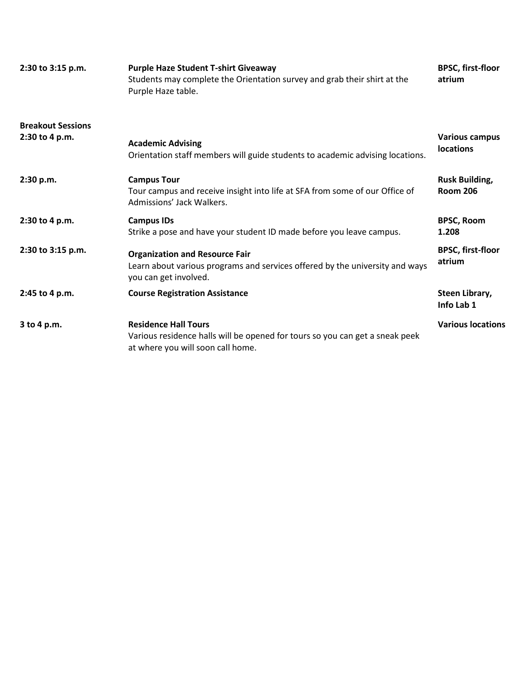| 2:30 to 3:15 p.m.                          | <b>Purple Haze Student T-shirt Giveaway</b><br>Students may complete the Orientation survey and grab their shirt at the<br>Purple Haze table.    | <b>BPSC, first-floor</b><br>atrium        |
|--------------------------------------------|--------------------------------------------------------------------------------------------------------------------------------------------------|-------------------------------------------|
| <b>Breakout Sessions</b><br>2:30 to 4 p.m. | <b>Academic Advising</b><br>Orientation staff members will guide students to academic advising locations.                                        | <b>Various campus</b><br><b>locations</b> |
| 2:30 p.m.                                  | <b>Campus Tour</b><br>Tour campus and receive insight into life at SFA from some of our Office of<br>Admissions' Jack Walkers.                   | <b>Rusk Building,</b><br><b>Room 206</b>  |
| 2:30 to 4 p.m.                             | <b>Campus IDs</b><br>Strike a pose and have your student ID made before you leave campus.                                                        | <b>BPSC, Room</b><br>1.208                |
| 2:30 to 3:15 p.m.                          | <b>Organization and Resource Fair</b><br>Learn about various programs and services offered by the university and ways<br>you can get involved.   | <b>BPSC, first-floor</b><br>atrium        |
| 2:45 to 4 p.m.                             | <b>Course Registration Assistance</b>                                                                                                            | Steen Library,<br>Info Lab 1              |
| 3 to 4 p.m.                                | <b>Residence Hall Tours</b><br>Various residence halls will be opened for tours so you can get a sneak peek<br>at where you will soon call home. | <b>Various locations</b>                  |